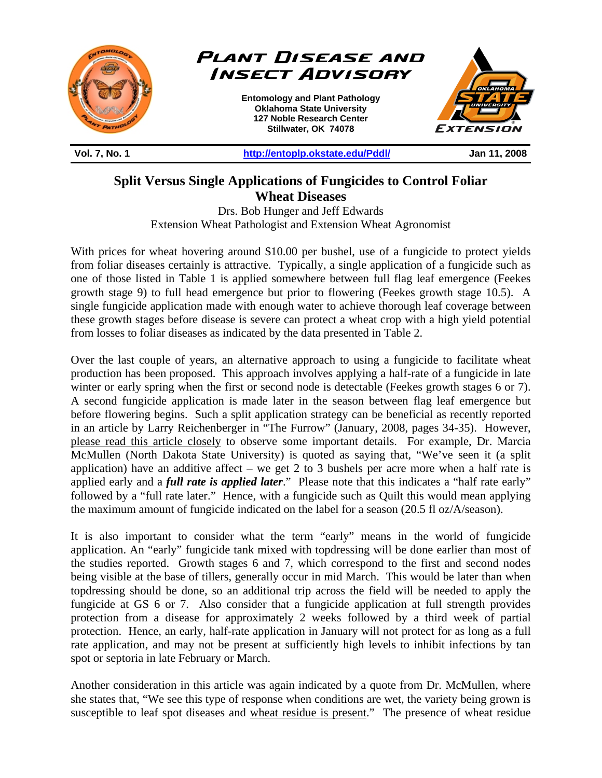

**Split Versus Single Applications of Fungicides to Control Foliar Wheat Diseases** 

Drs. Bob Hunger and Jeff Edwards Extension Wheat Pathologist and Extension Wheat Agronomist

With prices for wheat hovering around \$10.00 per bushel, use of a fungicide to protect yields from foliar diseases certainly is attractive. Typically, a single application of a fungicide such as one of those listed in Table 1 is applied somewhere between full flag leaf emergence (Feekes growth stage 9) to full head emergence but prior to flowering (Feekes growth stage 10.5). A single fungicide application made with enough water to achieve thorough leaf coverage between these growth stages before disease is severe can protect a wheat crop with a high yield potential from losses to foliar diseases as indicated by the data presented in Table 2.

Over the last couple of years, an alternative approach to using a fungicide to facilitate wheat production has been proposed. This approach involves applying a half-rate of a fungicide in late winter or early spring when the first or second node is detectable (Feekes growth stages 6 or 7). A second fungicide application is made later in the season between flag leaf emergence but before flowering begins. Such a split application strategy can be beneficial as recently reported in an article by Larry Reichenberger in "The Furrow" (January, 2008, pages 34-35). However, please read this article closely to observe some important details. For example, Dr. Marcia McMullen (North Dakota State University) is quoted as saying that, "We've seen it (a split application) have an additive affect – we get 2 to 3 bushels per acre more when a half rate is applied early and a *full rate is applied later*." Please note that this indicates a "half rate early" followed by a "full rate later." Hence, with a fungicide such as Quilt this would mean applying the maximum amount of fungicide indicated on the label for a season (20.5 fl oz/A/season).

It is also important to consider what the term "early" means in the world of fungicide application. An "early" fungicide tank mixed with topdressing will be done earlier than most of the studies reported. Growth stages 6 and 7, which correspond to the first and second nodes being visible at the base of tillers, generally occur in mid March. This would be later than when topdressing should be done, so an additional trip across the field will be needed to apply the fungicide at GS 6 or 7. Also consider that a fungicide application at full strength provides protection from a disease for approximately 2 weeks followed by a third week of partial protection. Hence, an early, half-rate application in January will not protect for as long as a full rate application, and may not be present at sufficiently high levels to inhibit infections by tan spot or septoria in late February or March.

Another consideration in this article was again indicated by a quote from Dr. McMullen, where she states that, "We see this type of response when conditions are wet, the variety being grown is susceptible to leaf spot diseases and wheat residue is present." The presence of wheat residue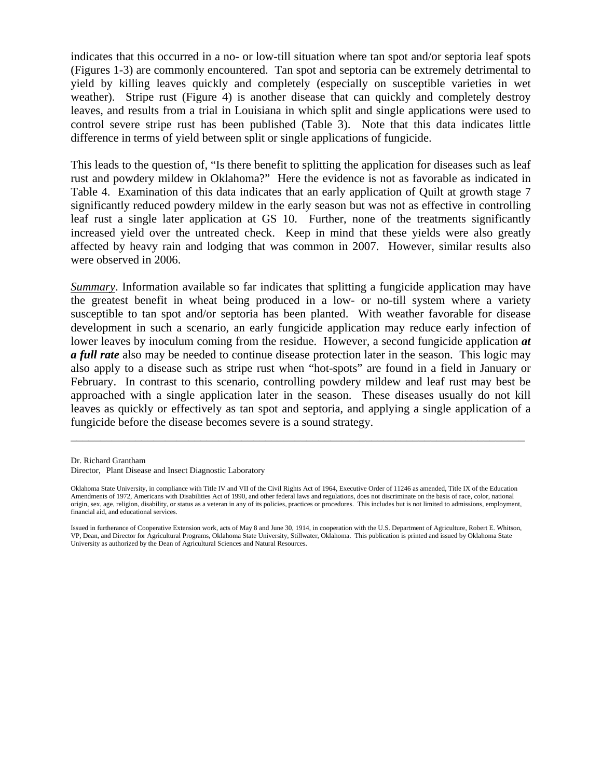indicates that this occurred in a no- or low-till situation where tan spot and/or septoria leaf spots (Figures 1-3) are commonly encountered. Tan spot and septoria can be extremely detrimental to yield by killing leaves quickly and completely (especially on susceptible varieties in wet weather). Stripe rust (Figure 4) is another disease that can quickly and completely destroy leaves, and results from a trial in Louisiana in which split and single applications were used to control severe stripe rust has been published (Table 3). Note that this data indicates little difference in terms of yield between split or single applications of fungicide.

This leads to the question of, "Is there benefit to splitting the application for diseases such as leaf rust and powdery mildew in Oklahoma?" Here the evidence is not as favorable as indicated in Table 4. Examination of this data indicates that an early application of Quilt at growth stage 7 significantly reduced powdery mildew in the early season but was not as effective in controlling leaf rust a single later application at GS 10. Further, none of the treatments significantly increased yield over the untreated check. Keep in mind that these yields were also greatly affected by heavy rain and lodging that was common in 2007. However, similar results also were observed in 2006.

*Summary*. Information available so far indicates that splitting a fungicide application may have the greatest benefit in wheat being produced in a low- or no-till system where a variety susceptible to tan spot and/or septoria has been planted. With weather favorable for disease development in such a scenario, an early fungicide application may reduce early infection of lower leaves by inoculum coming from the residue. However, a second fungicide application *at a full rate* also may be needed to continue disease protection later in the season. This logic may also apply to a disease such as stripe rust when "hot-spots" are found in a field in January or February. In contrast to this scenario, controlling powdery mildew and leaf rust may best be approached with a single application later in the season. These diseases usually do not kill leaves as quickly or effectively as tan spot and septoria, and applying a single application of a fungicide before the disease becomes severe is a sound strategy.

Dr. Richard Grantham

\_\_\_\_\_\_\_\_\_\_\_\_\_\_\_\_\_\_\_\_\_\_\_\_\_\_\_\_\_\_\_\_\_\_\_\_\_\_\_\_\_\_\_\_\_\_\_\_\_\_\_\_\_\_\_\_\_\_\_\_\_\_\_\_\_\_\_\_\_\_\_\_\_\_\_\_\_

Director, Plant Disease and Insect Diagnostic Laboratory

Oklahoma State University, in compliance with Title IV and VII of the Civil Rights Act of 1964, Executive Order of 11246 as amended, Title IX of the Education Amendments of 1972, Americans with Disabilities Act of 1990, and other federal laws and regulations, does not discriminate on the basis of race, color, national origin, sex, age, religion, disability, or status as a veteran in any of its policies, practices or procedures. This includes but is not limited to admissions, employment, financial aid, and educational services.

Issued in furtherance of Cooperative Extension work, acts of May 8 and June 30, 1914, in cooperation with the U.S. Department of Agriculture, Robert E. Whitson, VP, Dean, and Director for Agricultural Programs, Oklahoma State University, Stillwater, Oklahoma. This publication is printed and issued by Oklahoma State University as authorized by the Dean of Agricultural Sciences and Natural Resources.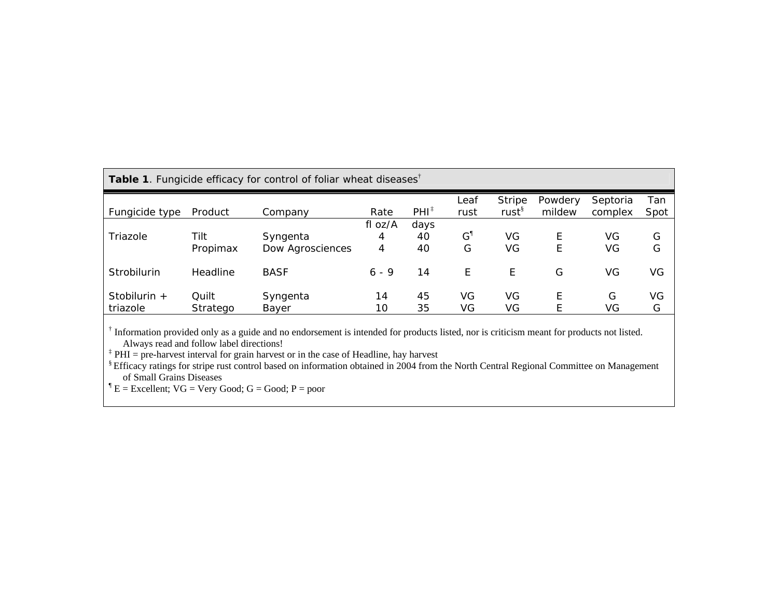| Table 1. Fungicide efficacy for control of foliar wheat diseases <sup>†</sup> |                   |                              |                   |                  |                 |                             |                   |                     |             |
|-------------------------------------------------------------------------------|-------------------|------------------------------|-------------------|------------------|-----------------|-----------------------------|-------------------|---------------------|-------------|
| Fungicide type                                                                | Product           | Company                      | Rate              | $PHI^{\ddagger}$ | Leaf<br>rust    | Stripe<br>rust <sup>§</sup> | Powdery<br>mildew | Septoria<br>complex | Tan<br>Spot |
| Triazole                                                                      | Tilt<br>Propimax  | Syngenta<br>Dow Agrosciences | fl oz/A<br>4<br>4 | days<br>40<br>40 | $\rm{G}^1$<br>G | VG<br>VG                    | E<br>Ε            | VG<br>VG            | G<br>G      |
| Strobilurin                                                                   | Headline          | <b>BASF</b>                  | $6 - 9$           | 14               | E               | E                           | G                 | VG                  | VG          |
| Stobilurin $+$<br>triazole                                                    | Quilt<br>Stratego | Syngenta<br>Bayer            | 14<br>10          | 45<br>35         | VG<br>VG        | VG<br>VG                    | E<br>E            | G<br>VG             | VG<br>G     |

† Information provided only as a guide and no endorsement is intended for products listed, nor is criticism meant for products not listed. Always read and follow label directions!

‡ PHI = pre-harvest interval for grain harvest or in the case of Headline, hay harvest

§ Efficacy ratings for stripe rust control based on information obtained in 2004 from the North Central Regional Committee on Management of Small Grains Diseases

 ${}^{\P}E =$  Excellent; VG = Very Good; G = Good; P = poor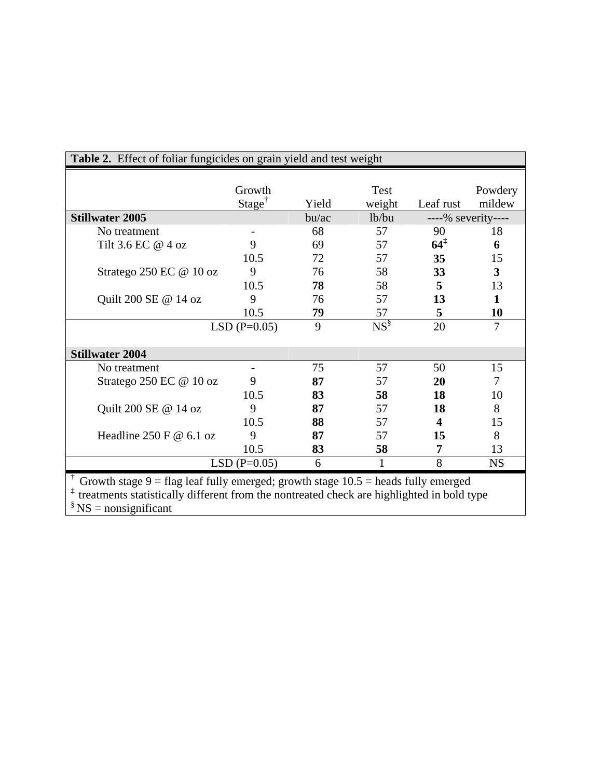| <b>Stillwater 2005</b><br>bu/ac<br>lb/bu<br>----% severity----<br>68<br>57<br>No treatment<br>90<br>18<br>$64^{\ddagger}$<br>9<br>Tilt 3.6 EC @ 4 oz<br>69<br>57<br>6<br>10.5<br>72<br>57<br>35<br>15<br>$\overline{\mathbf{3}}$<br>76<br>58<br>33<br>Stratego 250 EC @ 10 oz<br>9<br>5<br>10.5<br>78<br>58<br>13<br>$\mathbf{1}$<br>Quilt 200 SE @ 14 oz<br>9<br>57<br>13<br>76<br>10.5<br>5<br>79<br>57<br>10<br>$NS^{\S}$<br>$\overline{7}$<br>9<br>20<br>$LSD(P=0.05)$<br><b>Stillwater 2004</b><br>57<br>75<br>50<br>15<br>No treatment<br>9<br>87<br>7<br>Stratego 250 EC @ 10 oz<br>57<br>20<br>10.5<br>58<br>83<br>18<br>10<br>87<br>57<br>8<br>Quilt 200 SE @ 14 oz<br>9<br>18<br>10.5<br>57<br>88<br>$\overline{\mathbf{4}}$<br>15<br>8<br>Headline 250 F $@$ 6.1 oz<br>9<br>87<br>57<br>15<br>10.5<br>83<br>58<br>13<br>7<br>8<br>$LSD(P=0.05)$<br>$\mathbf{1}$<br>6<br><b>NS</b> | Growth             |       | Test   |           | Powdery |
|----------------------------------------------------------------------------------------------------------------------------------------------------------------------------------------------------------------------------------------------------------------------------------------------------------------------------------------------------------------------------------------------------------------------------------------------------------------------------------------------------------------------------------------------------------------------------------------------------------------------------------------------------------------------------------------------------------------------------------------------------------------------------------------------------------------------------------------------------------------------------------------------|--------------------|-------|--------|-----------|---------|
|                                                                                                                                                                                                                                                                                                                                                                                                                                                                                                                                                                                                                                                                                                                                                                                                                                                                                              | Stage <sup>†</sup> | Yield | weight | Leaf rust | mildew  |
|                                                                                                                                                                                                                                                                                                                                                                                                                                                                                                                                                                                                                                                                                                                                                                                                                                                                                              |                    |       |        |           |         |
|                                                                                                                                                                                                                                                                                                                                                                                                                                                                                                                                                                                                                                                                                                                                                                                                                                                                                              |                    |       |        |           |         |
|                                                                                                                                                                                                                                                                                                                                                                                                                                                                                                                                                                                                                                                                                                                                                                                                                                                                                              |                    |       |        |           |         |
|                                                                                                                                                                                                                                                                                                                                                                                                                                                                                                                                                                                                                                                                                                                                                                                                                                                                                              |                    |       |        |           |         |
|                                                                                                                                                                                                                                                                                                                                                                                                                                                                                                                                                                                                                                                                                                                                                                                                                                                                                              |                    |       |        |           |         |
|                                                                                                                                                                                                                                                                                                                                                                                                                                                                                                                                                                                                                                                                                                                                                                                                                                                                                              |                    |       |        |           |         |
|                                                                                                                                                                                                                                                                                                                                                                                                                                                                                                                                                                                                                                                                                                                                                                                                                                                                                              |                    |       |        |           |         |
|                                                                                                                                                                                                                                                                                                                                                                                                                                                                                                                                                                                                                                                                                                                                                                                                                                                                                              |                    |       |        |           |         |
|                                                                                                                                                                                                                                                                                                                                                                                                                                                                                                                                                                                                                                                                                                                                                                                                                                                                                              |                    |       |        |           |         |
|                                                                                                                                                                                                                                                                                                                                                                                                                                                                                                                                                                                                                                                                                                                                                                                                                                                                                              |                    |       |        |           |         |
|                                                                                                                                                                                                                                                                                                                                                                                                                                                                                                                                                                                                                                                                                                                                                                                                                                                                                              |                    |       |        |           |         |
|                                                                                                                                                                                                                                                                                                                                                                                                                                                                                                                                                                                                                                                                                                                                                                                                                                                                                              |                    |       |        |           |         |
|                                                                                                                                                                                                                                                                                                                                                                                                                                                                                                                                                                                                                                                                                                                                                                                                                                                                                              |                    |       |        |           |         |
|                                                                                                                                                                                                                                                                                                                                                                                                                                                                                                                                                                                                                                                                                                                                                                                                                                                                                              |                    |       |        |           |         |
|                                                                                                                                                                                                                                                                                                                                                                                                                                                                                                                                                                                                                                                                                                                                                                                                                                                                                              |                    |       |        |           |         |
|                                                                                                                                                                                                                                                                                                                                                                                                                                                                                                                                                                                                                                                                                                                                                                                                                                                                                              |                    |       |        |           |         |
|                                                                                                                                                                                                                                                                                                                                                                                                                                                                                                                                                                                                                                                                                                                                                                                                                                                                                              |                    |       |        |           |         |
|                                                                                                                                                                                                                                                                                                                                                                                                                                                                                                                                                                                                                                                                                                                                                                                                                                                                                              |                    |       |        |           |         |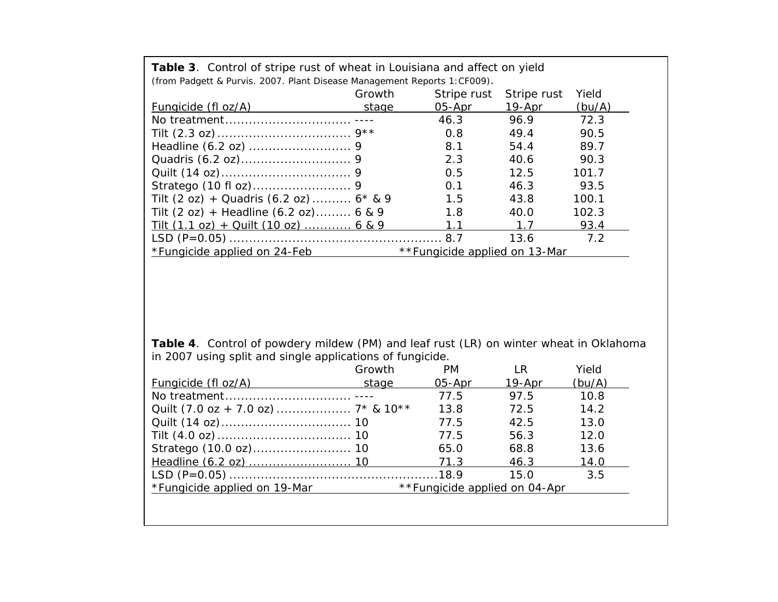| (from Padgett & Purvis. 2007. Plant Disease Management Reports 1: CF009). |                               |             |             |        |  |  |  |
|---------------------------------------------------------------------------|-------------------------------|-------------|-------------|--------|--|--|--|
|                                                                           | Growth                        | Stripe rust | Stripe rust | Yield  |  |  |  |
| Fungicide (fl oz/A)                                                       | stage                         | 05-Apr      | $19-Apr$    | (bu/A) |  |  |  |
|                                                                           |                               | 46.3        | 96.9        | 72.3   |  |  |  |
|                                                                           |                               | 0.8         | 49.4        | 90.5   |  |  |  |
|                                                                           |                               | 8.1         | 54.4        | 89.7   |  |  |  |
|                                                                           |                               | 2.3         | 40.6        | 90.3   |  |  |  |
|                                                                           |                               | 0.5         | 12.5        | 101.7  |  |  |  |
|                                                                           |                               | 0.1         | 46.3        | 93.5   |  |  |  |
| Tilt (2 oz) + Quadris (6.2 oz) $6 * 8 9$                                  |                               | 1.5         | 43.8        | 100.1  |  |  |  |
| Tilt $(2 oz) + Headline (6.2 oz)$ 6 & 9                                   |                               | 1.8         | 40.0        | 102.3  |  |  |  |
| Tilt $(1.1 oz) + Quilt (10 oz)$ 6 & 9                                     |                               | 1.1         | 1.7         | 93.4   |  |  |  |
|                                                                           |                               |             | 13.6        | 7.2    |  |  |  |
| *Fungicide applied on 24-Feb                                              | **Fungicide applied on 13-Mar |             |             |        |  |  |  |

**Table 3**. Control of stripe rust of wheat in Louisiana and affect on yield

**Table 4**. Control of powdery mildew (PM) and leaf rust (LR) on winter wheat in Oklahoma in 2007 using split and single applications of fungicide.

|                              | Growth | PM.                           | l R        | Yield  |
|------------------------------|--------|-------------------------------|------------|--------|
| Fungicide (fl oz/A)          | stage  | 05-Apr                        | $19 - Apr$ | (bu/A) |
|                              |        | 77.5                          | 97.5       | 10.8   |
|                              |        | 13.8                          | 72.5       | 14.2   |
|                              |        | 77.5                          | 42.5       | 13.0   |
|                              |        | 77.5                          | 56.3       | 12.0   |
|                              |        | 65.0                          | 68.8       | 13.6   |
|                              |        | 71.3                          | 46.3       | 14.0   |
|                              |        |                               | 15.0       | 3.5    |
| *Fungicide applied on 19-Mar |        | **Fungicide applied on 04-Apr |            |        |
|                              |        |                               |            |        |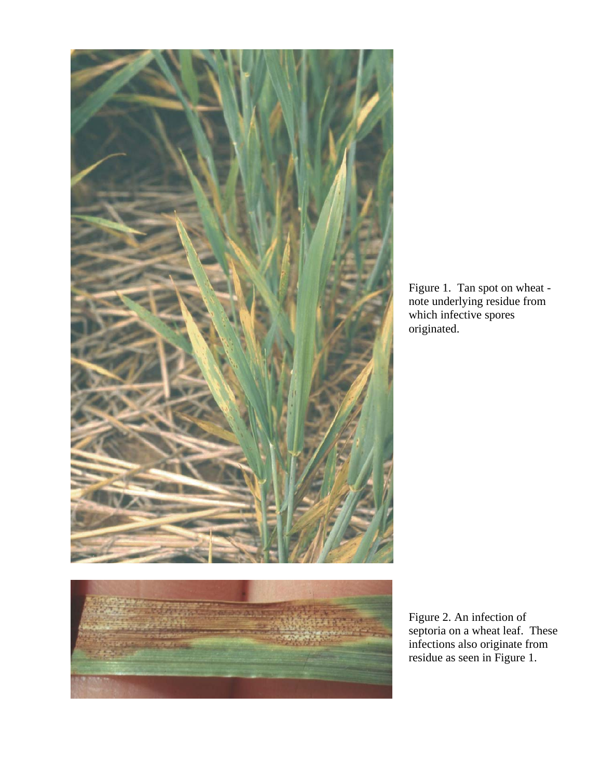



Figure 1. Tan spot on wheat note underlying residue from which infective spores originated.

Figure 2. An infection of septoria on a wheat leaf. These infections also originate from residue as seen in Figure 1.